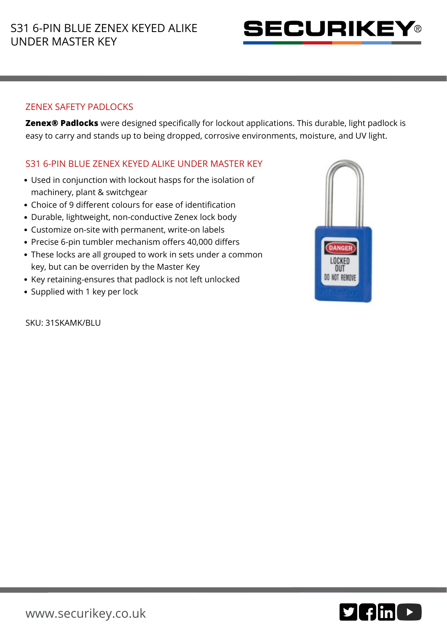

## ZENEX SAFETY PADLOCKS

**Zenex® Padlocks** were designed specifically for lockout applications. This durable, light padlock is easy to carry and stands up to being dropped, corrosive environments, moisture, and UV light.

## S31 6-PIN BLUE ZENEX KEYED ALIKE UNDER MASTER KEY

- Used in conjunction with lockout hasps for the isolation of machinery, plant & switchgear
- Choice of 9 different colours for ease of identification
- Durable, lightweight, non-conductive Zenex lock body
- Customize on-site with permanent, write-on labels
- Precise 6-pin tumbler mechanism offers 40,000 differs
- These locks are all grouped to work in sets under a common key, but can be overriden by the Master Key
- Key retaining-ensures that padlock is not left unlocked
- Supplied with 1 key per lock

SKU: 31SKAMK/BLU



 $9$  fin  $\triangleright$ 

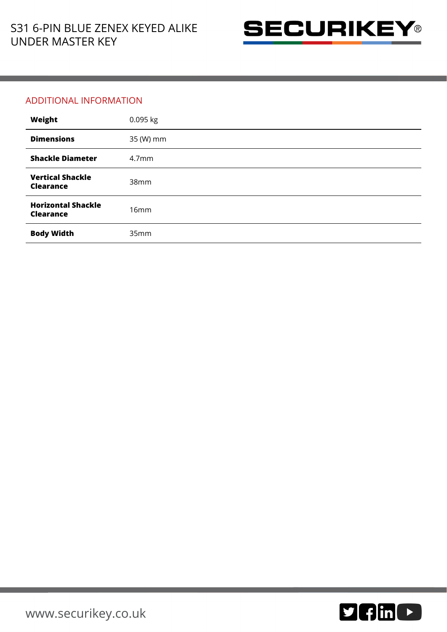

## ADDITIONAL INFORMATION

| Weight                                        | 0.095 kg          |
|-----------------------------------------------|-------------------|
| <b>Dimensions</b>                             | 35 (W) mm         |
| <b>Shackle Diameter</b>                       | 4.7 <sub>mm</sub> |
| <b>Vertical Shackle</b><br><b>Clearance</b>   | 38mm              |
| <b>Horizontal Shackle</b><br><b>Clearance</b> | 16mm              |
| <b>Body Width</b>                             | 35mm              |

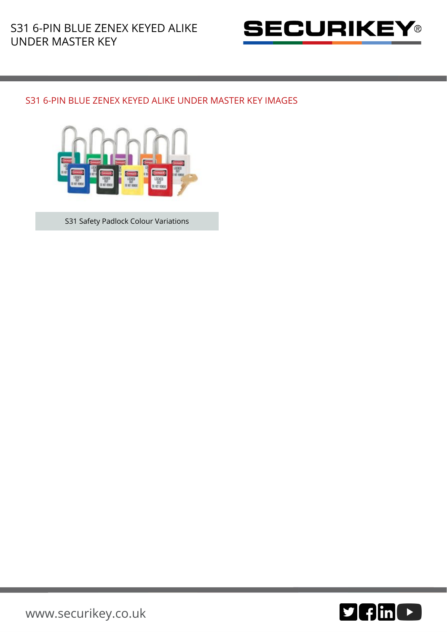

## S31 6-PIN BLUE ZENEX KEYED ALIKE UNDER MASTER KEY IMAGES



S31 Safety Padlock Colour Variations